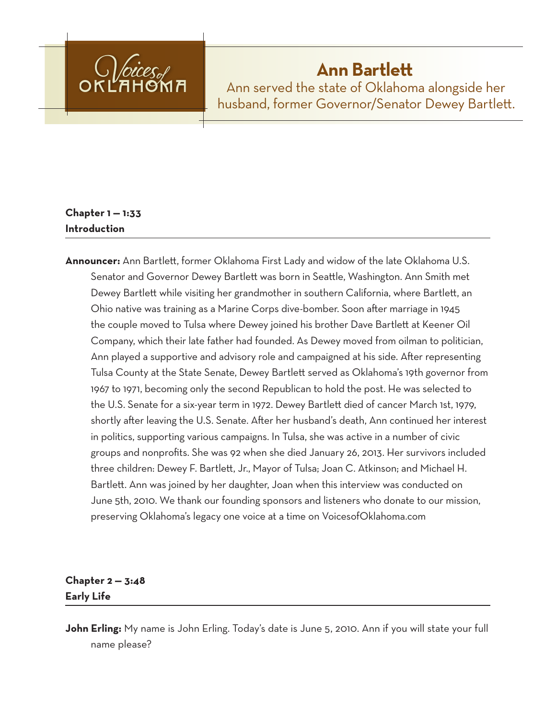

# **Ann Bartlett**

Ann served the state of Oklahoma alongside her husband, former Governor/Senator Dewey Bartlett.

# **Chapter 1 — 1:33 Introduction**

**Announcer:** Ann Bartlett, former Oklahoma First Lady and widow of the late Oklahoma U.S. Senator and Governor Dewey Bartlett was born in Seattle, Washington. Ann Smith met Dewey Bartlett while visiting her grandmother in southern California, where Bartlett, an Ohio native was training as a Marine Corps dive-bomber. Soon after marriage in 1945 the couple moved to Tulsa where Dewey joined his brother Dave Bartlett at Keener Oil Company, which their late father had founded. As Dewey moved from oilman to politician, Ann played a supportive and advisory role and campaigned at his side. After representing Tulsa County at the State Senate, Dewey Bartlett served as Oklahoma's 19th governor from 1967 to 1971, becoming only the second Republican to hold the post. He was selected to the U.S. Senate for a six-year term in 1972. Dewey Bartlett died of cancer March 1st, 1979, shortly after leaving the U.S. Senate. After her husband's death, Ann continued her interest in politics, supporting various campaigns. In Tulsa, she was active in a number of civic groups and nonprofits. She was 92 when she died January 26, 2013. Her survivors included three children: Dewey F. Bartlett, Jr., Mayor of Tulsa; Joan C. Atkinson; and Michael H. Bartlett. Ann was joined by her daughter, Joan when this interview was conducted on June 5th, 2010. We thank our founding sponsors and listeners who donate to our mission, preserving Oklahoma's legacy one voice at a time on VoicesofOklahoma.com

# **Chapter 2 — 3:48 Early Life**

**John Erling:** My name is John Erling. Today's date is June 5, 2010. Ann if you will state your full name please?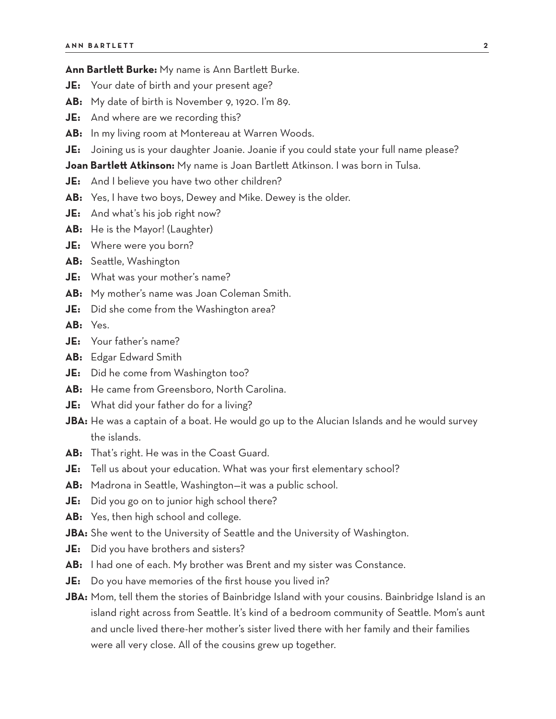**Ann Bartlett Burke:** My name is Ann Bartlett Burke.

- **JE:** Your date of birth and your present age?
- **AB:** My date of birth is November 9, 1920. I'm 89.
- **JE:** And where are we recording this?
- **AB:** In my living room at Montereau at Warren Woods.
- **JE:** Joining us is your daughter Joanie. Joanie if you could state your full name please?

**Joan Bartlett Atkinson:** My name is Joan Bartlett Atkinson. I was born in Tulsa.

- **JE:** And I believe you have two other children?
- **AB:** Yes, I have two boys, Dewey and Mike. Dewey is the older.
- **JE:** And what's his job right now?
- **AB:** He is the Mayor! (Laughter)
- **JE:** Where were you born?
- **AB:** Seattle, Washington
- **JE:** What was your mother's name?
- **AB:** My mother's name was Joan Coleman Smith.
- **JE:** Did she come from the Washington area?
- **AB:** Yes.
- **JE:** Your father's name?
- **AB:** Edgar Edward Smith
- **JE:** Did he come from Washington too?
- **AB:** He came from Greensboro, North Carolina.
- **JE:** What did your father do for a living?
- **JBA:** He was a captain of a boat. He would go up to the Alucian Islands and he would survey the islands.
- **AB:** That's right. He was in the Coast Guard.
- **JE:** Tell us about your education. What was your first elementary school?
- **AB:** Madrona in Seattle, Washington—it was a public school.
- **JE:** Did you go on to junior high school there?
- **AB:** Yes, then high school and college.
- **JBA:** She went to the University of Seattle and the University of Washington.
- **JE:** Did you have brothers and sisters?
- **AB:** I had one of each. My brother was Brent and my sister was Constance.
- **JE:** Do you have memories of the first house you lived in?
- **JBA:** Mom, tell them the stories of Bainbridge Island with your cousins. Bainbridge Island is an island right across from Seattle. It's kind of a bedroom community of Seattle. Mom's aunt and uncle lived there-her mother's sister lived there with her family and their families were all very close. All of the cousins grew up together.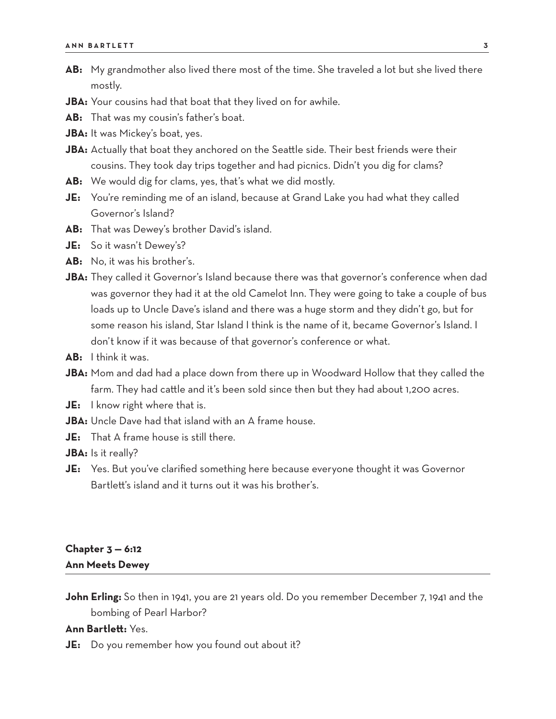- **AB:** My grandmother also lived there most of the time. She traveled a lot but she lived there mostly.
- **JBA:** Your cousins had that boat that they lived on for awhile.
- **AB:** That was my cousin's father's boat.
- **JBA:** It was Mickey's boat, yes.
- JBA: Actually that boat they anchored on the Seattle side. Their best friends were their cousins. They took day trips together and had picnics. Didn't you dig for clams?
- **AB:** We would dig for clams, yes, that's what we did mostly.
- **JE:** You're reminding me of an island, because at Grand Lake you had what they called Governor's Island?
- **AB:** That was Dewey's brother David's island.
- **JE:** So it wasn't Dewey's?
- **AB:** No, it was his brother's.
- **JBA:** They called it Governor's Island because there was that governor's conference when dad was governor they had it at the old Camelot Inn. They were going to take a couple of bus loads up to Uncle Dave's island and there was a huge storm and they didn't go, but for some reason his island, Star Island I think is the name of it, became Governor's Island. I don't know if it was because of that governor's conference or what.
- **AB:** I think it was.
- **JBA:** Mom and dad had a place down from there up in Woodward Hollow that they called the farm. They had cattle and it's been sold since then but they had about 1,200 acres.
- **JE:** I know right where that is.
- **JBA:** Uncle Dave had that island with an A frame house.
- **JE:** That A frame house is still there.
- **JBA:** Is it really?
- **JE:** Yes. But you've clarified something here because everyone thought it was Governor Bartlett's island and it turns out it was his brother's.

## **Chapter 3 — 6:12 Ann Meets Dewey**

**John Erling:** So then in 1941, you are 21 years old. Do you remember December 7, 1941 and the bombing of Pearl Harbor?

#### **Ann Bartlett:** Yes.

**JE:** Do you remember how you found out about it?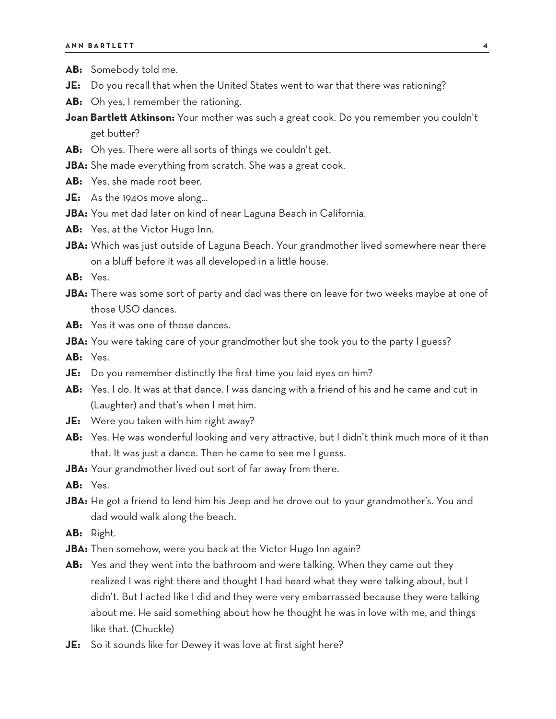- **AB:** Somebody told me.
- **JE:** Do you recall that when the United States went to war that there was rationing?
- **AB:** Oh yes, I remember the rationing.
- **Joan Bartlett Atkinson:** Your mother was such a great cook. Do you remember you couldn't get butter?
- **AB:** Oh yes. There were all sorts of things we couldn't get.
- **JBA:** She made everything from scratch. She was a great cook.
- **AB:** Yes, she made root beer.
- **JE:** As the 1940s move along…
- **JBA:** You met dad later on kind of near Laguna Beach in California.
- **AB:** Yes, at the Victor Hugo Inn.
- **JBA:** Which was just outside of Laguna Beach. Your grandmother lived somewhere near there on a bluff before it was all developed in a little house.

**AB:** Yes.

- **JBA:** There was some sort of party and dad was there on leave for two weeks maybe at one of those USO dances.
- **AB:** Yes it was one of those dances.
- **JBA:** You were taking care of your grandmother but she took you to the party I guess?

**AB:** Yes.

- **JE:** Do you remember distinctly the first time you laid eyes on him?
- AB: Yes. I do. It was at that dance. I was dancing with a friend of his and he came and cut in (Laughter) and that's when I met him.
- **JE:** Were you taken with him right away?
- **AB:** Yes. He was wonderful looking and very attractive, but I didn't think much more of it than that. It was just a dance. Then he came to see me I guess.
- **JBA:** Your grandmother lived out sort of far away from there.
- **AB:** Yes.
- **JBA:** He got a friend to lend him his Jeep and he drove out to your grandmother's. You and dad would walk along the beach.
- **AB:** Right.
- JBA: Then somehow, were you back at the Victor Hugo Inn again?
- **AB:** Yes and they went into the bathroom and were talking. When they came out they realized I was right there and thought I had heard what they were talking about, but I didn't. But I acted like I did and they were very embarrassed because they were talking about me. He said something about how he thought he was in love with me, and things like that. (Chuckle)
- **JE:** So it sounds like for Dewey it was love at first sight here?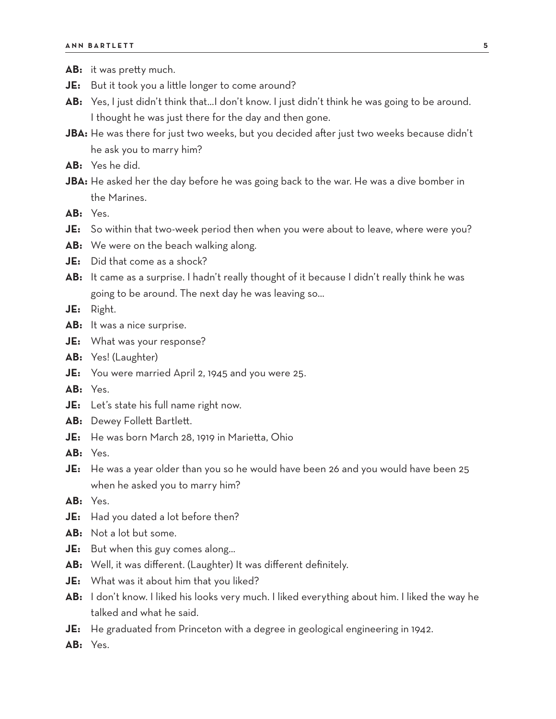- AB: it was pretty much.
- **JE:** But it took you a little longer to come around?
- **AB:** Yes, I just didn't think that…I don't know. I just didn't think he was going to be around. I thought he was just there for the day and then gone.
- **JBA:** He was there for just two weeks, but you decided after just two weeks because didn't he ask you to marry him?
- **AB:** Yes he did.
- **JBA:** He asked her the day before he was going back to the war. He was a dive bomber in the Marines.
- **AB:** Yes.
- **JE:** So within that two-week period then when you were about to leave, where were you?
- **AB:** We were on the beach walking along.
- **JE:** Did that come as a shock?
- **AB:** It came as a surprise. I hadn't really thought of it because I didn't really think he was going to be around. The next day he was leaving so…
- **JE:** Right.
- **AB:** It was a nice surprise.
- **JE:** What was your response?
- **AB:** Yes! (Laughter)
- **JE:** You were married April 2, 1945 and you were 25.
- **AB:** Yes.
- **JE:** Let's state his full name right now.
- AB: Dewey Follett Bartlett.
- **JE:** He was born March 28, 1919 in Marietta, Ohio
- **AB:** Yes.
- **JE:** He was a year older than you so he would have been 26 and you would have been 25 when he asked you to marry him?
- **AB:** Yes.
- **JE:** Had you dated a lot before then?
- **AB:** Not a lot but some.
- **JE:** But when this guy comes along…
- **AB:** Well, it was different. (Laughter) It was different definitely.
- **JE:** What was it about him that you liked?
- **AB:** I don't know. I liked his looks very much. I liked everything about him. I liked the way he talked and what he said.
- **JE:** He graduated from Princeton with a degree in geological engineering in 1942.
- **AB:** Yes.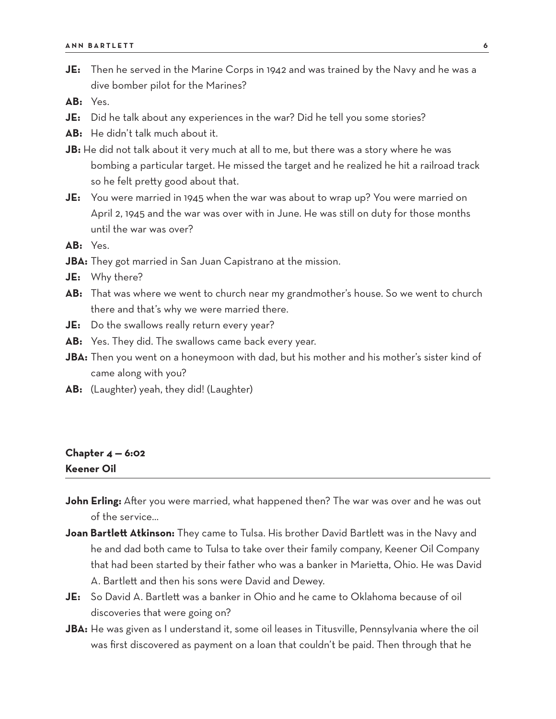**JE:** Then he served in the Marine Corps in 1942 and was trained by the Navy and he was a dive bomber pilot for the Marines?

**AB:** Yes.

- **JE:** Did he talk about any experiences in the war? Did he tell you some stories?
- **AB:** He didn't talk much about it.
- **JB:** He did not talk about it very much at all to me, but there was a story where he was bombing a particular target. He missed the target and he realized he hit a railroad track so he felt pretty good about that.
- **JE:** You were married in 1945 when the war was about to wrap up? You were married on April 2, 1945 and the war was over with in June. He was still on duty for those months until the war was over?

**AB:** Yes.

- **JBA:** They got married in San Juan Capistrano at the mission.
- **JE:** Why there?
- **AB:** That was where we went to church near my grandmother's house. So we went to church there and that's why we were married there.
- **JE:** Do the swallows really return every year?
- **AB:** Yes. They did. The swallows came back every year.
- **JBA:** Then you went on a honeymoon with dad, but his mother and his mother's sister kind of came along with you?
- **AB:** (Laughter) yeah, they did! (Laughter)

#### **Chapter 4 — 6:02 Keener Oil**

- **John Erling:** After you were married, what happened then? The war was over and he was out of the service…
- **Joan Bartlett Atkinson:** They came to Tulsa. His brother David Bartlett was in the Navy and he and dad both came to Tulsa to take over their family company, Keener Oil Company that had been started by their father who was a banker in Marietta, Ohio. He was David A. Bartlett and then his sons were David and Dewey.
- **JE:** So David A. Bartlett was a banker in Ohio and he came to Oklahoma because of oil discoveries that were going on?
- **JBA:** He was given as I understand it, some oil leases in Titusville, Pennsylvania where the oil was first discovered as payment on a loan that couldn't be paid. Then through that he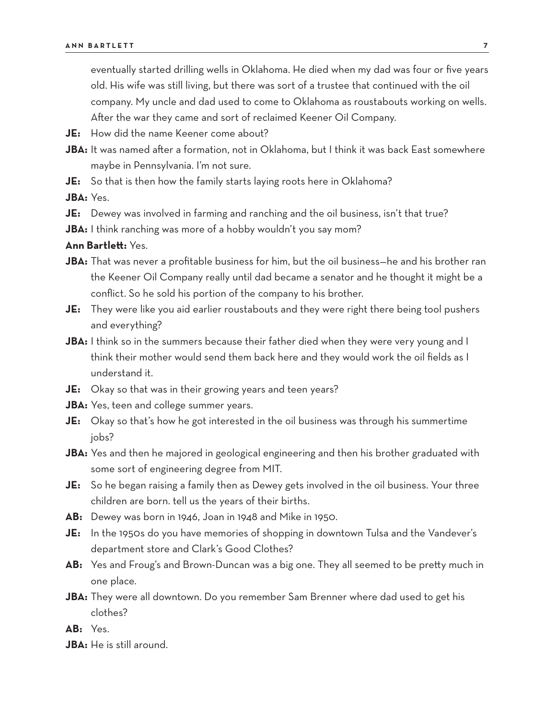eventually started drilling wells in Oklahoma. He died when my dad was four or five years old. His wife was still living, but there was sort of a trustee that continued with the oil company. My uncle and dad used to come to Oklahoma as roustabouts working on wells. After the war they came and sort of reclaimed Keener Oil Company.

- **JE:** How did the name Keener come about?
- JBA: It was named after a formation, not in Oklahoma, but I think it was back East somewhere maybe in Pennsylvania. I'm not sure.
- **JE:** So that is then how the family starts laying roots here in Oklahoma?

**JBA:** Yes.

- **JE:** Dewey was involved in farming and ranching and the oil business, isn't that true?
- **JBA:** I think ranching was more of a hobby wouldn't you say mom?

- **JBA:** That was never a profitable business for him, but the oil business—he and his brother ran the Keener Oil Company really until dad became a senator and he thought it might be a conflict. So he sold his portion of the company to his brother.
- **JE:** They were like you aid earlier roustabouts and they were right there being tool pushers and everything?
- **JBA:** I think so in the summers because their father died when they were very young and I think their mother would send them back here and they would work the oil fields as I understand it.
- **JE:** Okay so that was in their growing years and teen years?
- **JBA:** Yes, teen and college summer years.
- **JE:** Okay so that's how he got interested in the oil business was through his summertime jobs?
- **JBA:** Yes and then he majored in geological engineering and then his brother graduated with some sort of engineering degree from MIT.
- **JE:** So he began raising a family then as Dewey gets involved in the oil business. Your three children are born. tell us the years of their births.
- **AB:** Dewey was born in 1946, Joan in 1948 and Mike in 1950.
- **JE:** In the 1950s do you have memories of shopping in downtown Tulsa and the Vandever's department store and Clark's Good Clothes?
- **AB:** Yes and Froug's and Brown-Duncan was a big one. They all seemed to be pretty much in one place.
- **JBA:** They were all downtown. Do you remember Sam Brenner where dad used to get his clothes?
- **AB:** Yes.
- **JBA:** He is still around.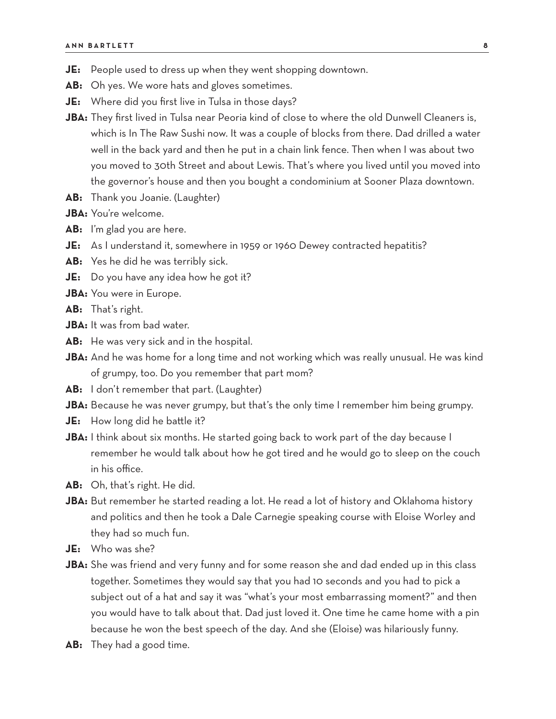- **JE:** People used to dress up when they went shopping downtown.
- **AB:** Oh yes. We wore hats and gloves sometimes.
- **JE:** Where did you first live in Tulsa in those days?
- **JBA:** They first lived in Tulsa near Peoria kind of close to where the old Dunwell Cleaners is, which is In The Raw Sushi now. It was a couple of blocks from there. Dad drilled a water well in the back yard and then he put in a chain link fence. Then when I was about two you moved to 30th Street and about Lewis. That's where you lived until you moved into the governor's house and then you bought a condominium at Sooner Plaza downtown.
- **AB:** Thank you Joanie. (Laughter)
- **JBA:** You're welcome.
- **AB:** I'm glad you are here.
- **JE:** As I understand it, somewhere in 1959 or 1960 Dewey contracted hepatitis?
- **AB:** Yes he did he was terribly sick.
- **JE:** Do you have any idea how he got it?
- **JBA:** You were in Europe.
- **AB:** That's right.
- **JBA:** It was from bad water.
- **AB:** He was very sick and in the hospital.
- **JBA:** And he was home for a long time and not working which was really unusual. He was kind of grumpy, too. Do you remember that part mom?
- **AB:** I don't remember that part. (Laughter)
- **JBA:** Because he was never grumpy, but that's the only time I remember him being grumpy.
- **JE:** How long did he battle it?
- **JBA:** I think about six months. He started going back to work part of the day because I remember he would talk about how he got tired and he would go to sleep on the couch in his office.
- **AB:** Oh, that's right. He did.
- **JBA:** But remember he started reading a lot. He read a lot of history and Oklahoma history and politics and then he took a Dale Carnegie speaking course with Eloise Worley and they had so much fun.
- **JE:** Who was she?
- **JBA:** She was friend and very funny and for some reason she and dad ended up in this class together. Sometimes they would say that you had 10 seconds and you had to pick a subject out of a hat and say it was "what's your most embarrassing moment?" and then you would have to talk about that. Dad just loved it. One time he came home with a pin because he won the best speech of the day. And she (Eloise) was hilariously funny.
- **AB:** They had a good time.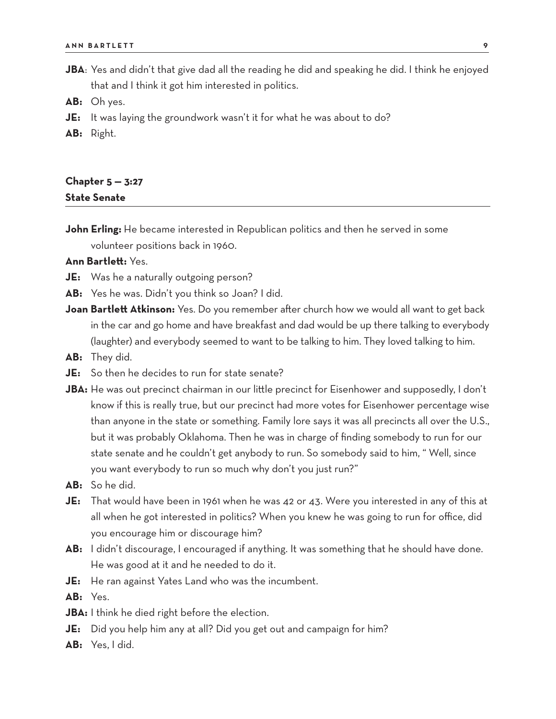- **JBA**: Yes and didn't that give dad all the reading he did and speaking he did. I think he enjoyed that and I think it got him interested in politics.
- **AB:** Oh yes.
- **JE:** It was laying the groundwork wasn't it for what he was about to do?
- **AB:** Right.

## **Chapter 5 — 3:27 State Senate**

**John Erling:** He became interested in Republican politics and then he served in some volunteer positions back in 1960.

- **JE:** Was he a naturally outgoing person?
- **AB:** Yes he was. Didn't you think so Joan? I did.
- **Joan Bartlett Atkinson:** Yes. Do you remember after church how we would all want to get back in the car and go home and have breakfast and dad would be up there talking to everybody (laughter) and everybody seemed to want to be talking to him. They loved talking to him.
- **AB:** They did.
- **JE:** So then he decides to run for state senate?
- **JBA:** He was out precinct chairman in our little precinct for Eisenhower and supposedly, I don't know if this is really true, but our precinct had more votes for Eisenhower percentage wise than anyone in the state or something. Family lore says it was all precincts all over the U.S., but it was probably Oklahoma. Then he was in charge of finding somebody to run for our state senate and he couldn't get anybody to run. So somebody said to him, " Well, since you want everybody to run so much why don't you just run?"
- **AB:** So he did.
- **JE:** That would have been in 1961 when he was 42 or 43. Were you interested in any of this at all when he got interested in politics? When you knew he was going to run for office, did you encourage him or discourage him?
- **AB:** I didn't discourage, I encouraged if anything. It was something that he should have done. He was good at it and he needed to do it.
- **JE:** He ran against Yates Land who was the incumbent.
- **AB:** Yes.
- **JBA:** I think he died right before the election.
- **JE:** Did you help him any at all? Did you get out and campaign for him?
- **AB:** Yes, I did.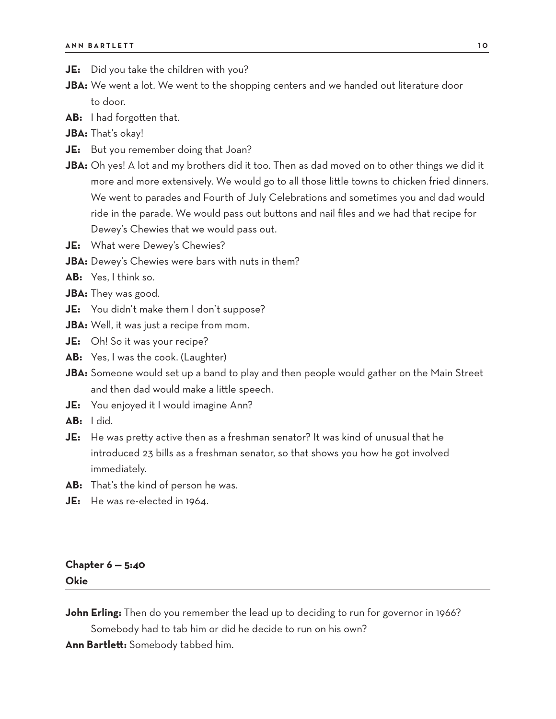- **JE:** Did you take the children with you?
- **JBA:** We went a lot. We went to the shopping centers and we handed out literature door to door.
- **AB:** I had forgotten that.
- **JBA:** That's okay!
- **JE:** But you remember doing that Joan?
- **JBA:** Oh yes! A lot and my brothers did it too. Then as dad moved on to other things we did it more and more extensively. We would go to all those little towns to chicken fried dinners. We went to parades and Fourth of July Celebrations and sometimes you and dad would ride in the parade. We would pass out buttons and nail files and we had that recipe for Dewey's Chewies that we would pass out.
- **JE:** What were Dewey's Chewies?
- **JBA:** Dewey's Chewies were bars with nuts in them?
- **AB:** Yes, I think so.
- **JBA:** They was good.
- **JE:** You didn't make them I don't suppose?
- **JBA:** Well, it was just a recipe from mom.
- **JE:** Oh! So it was your recipe?
- **AB:** Yes, I was the cook. (Laughter)
- **JBA:** Someone would set up a band to play and then people would gather on the Main Street and then dad would make a little speech.
- **JE:** You enjoyed it I would imagine Ann?
- **AB:** I did.
- **JE:** He was pretty active then as a freshman senator? It was kind of unusual that he introduced 23 bills as a freshman senator, so that shows you how he got involved immediately.
- **AB:** That's the kind of person he was.
- **JE:** He was re-elected in 1964.

## **Chapter 6 — 5:40 Okie**

**John Erling:** Then do you remember the lead up to deciding to run for governor in 1966?

Somebody had to tab him or did he decide to run on his own?

**Ann Bartlett:** Somebody tabbed him.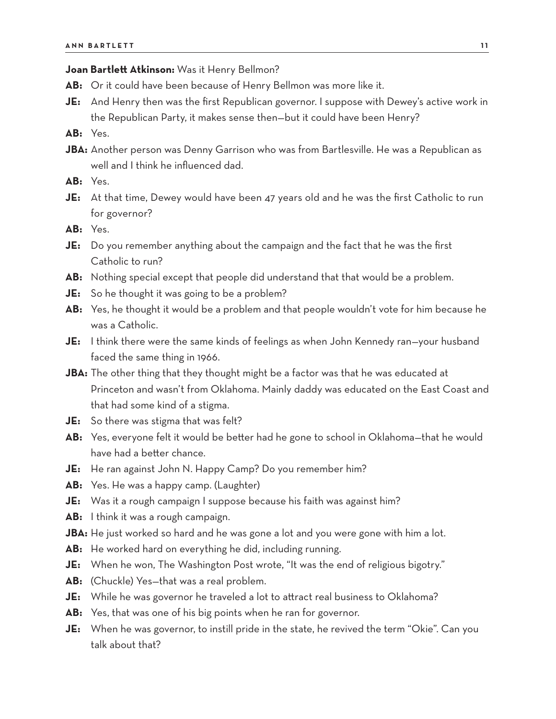#### **Joan Bartlett Atkinson:** Was it Henry Bellmon?

- **AB:** Or it could have been because of Henry Bellmon was more like it.
- **JE:** And Henry then was the first Republican governor. I suppose with Dewey's active work in the Republican Party, it makes sense then—but it could have been Henry?
- **AB:** Yes.
- **JBA:** Another person was Denny Garrison who was from Bartlesville. He was a Republican as well and I think he influenced dad.
- **AB:** Yes.
- **JE:** At that time, Dewey would have been 47 years old and he was the first Catholic to run for governor?
- **AB:** Yes.
- **JE:** Do you remember anything about the campaign and the fact that he was the first Catholic to run?
- **AB:** Nothing special except that people did understand that that would be a problem.
- **JE:** So he thought it was going to be a problem?
- **AB:** Yes, he thought it would be a problem and that people wouldn't vote for him because he was a Catholic.
- **JE:** I think there were the same kinds of feelings as when John Kennedy ran—your husband faced the same thing in 1966.
- **JBA:** The other thing that they thought might be a factor was that he was educated at Princeton and wasn't from Oklahoma. Mainly daddy was educated on the East Coast and that had some kind of a stigma.
- **JE:** So there was stigma that was felt?
- **AB:** Yes, everyone felt it would be better had he gone to school in Oklahoma—that he would have had a better chance.
- **JE:** He ran against John N. Happy Camp? Do you remember him?
- **AB:** Yes. He was a happy camp. (Laughter)
- **JE:** Was it a rough campaign I suppose because his faith was against him?
- **AB:** I think it was a rough campaign.
- **JBA:** He just worked so hard and he was gone a lot and you were gone with him a lot.
- **AB:** He worked hard on everything he did, including running.
- **JE:** When he won, The Washington Post wrote, "It was the end of religious bigotry."
- **AB:** (Chuckle) Yes—that was a real problem.
- **JE:** While he was governor he traveled a lot to attract real business to Oklahoma?
- **AB:** Yes, that was one of his big points when he ran for governor.
- **JE:** When he was governor, to instill pride in the state, he revived the term "Okie". Can you talk about that?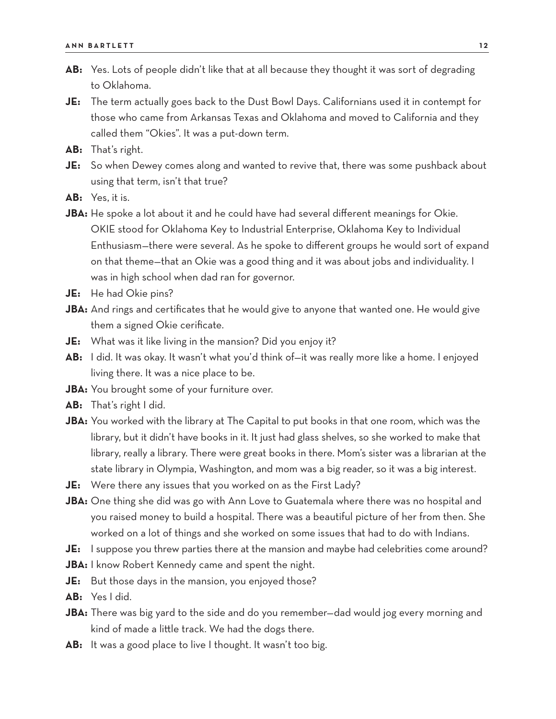- **AB:** Yes. Lots of people didn't like that at all because they thought it was sort of degrading to Oklahoma.
- **JE:** The term actually goes back to the Dust Bowl Days. Californians used it in contempt for those who came from Arkansas Texas and Oklahoma and moved to California and they called them "Okies". It was a put-down term.
- **AB:** That's right.
- **JE:** So when Dewey comes along and wanted to revive that, there was some pushback about using that term, isn't that true?
- **AB:** Yes, it is.
- **JBA:** He spoke a lot about it and he could have had several different meanings for Okie. OKIE stood for Oklahoma Key to Industrial Enterprise, Oklahoma Key to Individual Enthusiasm—there were several. As he spoke to different groups he would sort of expand on that theme—that an Okie was a good thing and it was about jobs and individuality. I was in high school when dad ran for governor.
- **JE:** He had Okie pins?
- **JBA:** And rings and certificates that he would give to anyone that wanted one. He would give them a signed Okie cerificate.
- **JE:** What was it like living in the mansion? Did you enjoy it?
- **AB:** I did. It was okay. It wasn't what you'd think of—it was really more like a home. I enjoyed living there. It was a nice place to be.
- **JBA:** You brought some of your furniture over.
- **AB:** That's right I did.
- **JBA:** You worked with the library at The Capital to put books in that one room, which was the library, but it didn't have books in it. It just had glass shelves, so she worked to make that library, really a library. There were great books in there. Mom's sister was a librarian at the state library in Olympia, Washington, and mom was a big reader, so it was a big interest.
- **JE:** Were there any issues that you worked on as the First Lady?
- **JBA:** One thing she did was go with Ann Love to Guatemala where there was no hospital and you raised money to build a hospital. There was a beautiful picture of her from then. She worked on a lot of things and she worked on some issues that had to do with Indians.
- **JE:** I suppose you threw parties there at the mansion and maybe had celebrities come around?
- **JBA:** I know Robert Kennedy came and spent the night.
- **JE:** But those days in the mansion, you enjoyed those?
- **AB:** Yes I did.
- **JBA:** There was big yard to the side and do you remember—dad would jog every morning and kind of made a little track. We had the dogs there.
- **AB:** It was a good place to live I thought. It wasn't too big.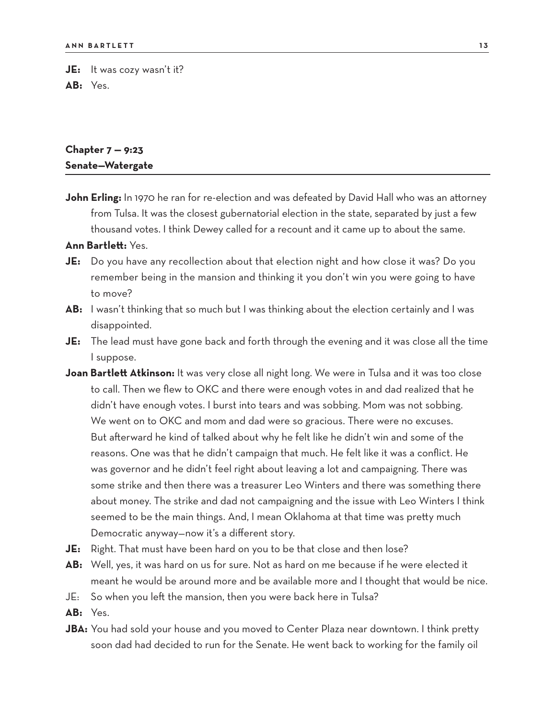**JE:** It was cozy wasn't it? **AB:** Yes.

## **Chapter 7 — 9:23 Senate—Watergate**

John Erling: In 1970 he ran for re-election and was defeated by David Hall who was an attorney from Tulsa. It was the closest gubernatorial election in the state, separated by just a few thousand votes. I think Dewey called for a recount and it came up to about the same.

- **JE:** Do you have any recollection about that election night and how close it was? Do you remember being in the mansion and thinking it you don't win you were going to have to move?
- **AB:** I wasn't thinking that so much but I was thinking about the election certainly and I was disappointed.
- **JE:** The lead must have gone back and forth through the evening and it was close all the time I suppose.
- **Joan Bartlett Atkinson:** It was very close all night long. We were in Tulsa and it was too close to call. Then we flew to OKC and there were enough votes in and dad realized that he didn't have enough votes. I burst into tears and was sobbing. Mom was not sobbing. We went on to OKC and mom and dad were so gracious. There were no excuses. But afterward he kind of talked about why he felt like he didn't win and some of the reasons. One was that he didn't campaign that much. He felt like it was a conflict. He was governor and he didn't feel right about leaving a lot and campaigning. There was some strike and then there was a treasurer Leo Winters and there was something there about money. The strike and dad not campaigning and the issue with Leo Winters I think seemed to be the main things. And, I mean Oklahoma at that time was pretty much Democratic anyway—now it's a different story.
- **JE:** Right. That must have been hard on you to be that close and then lose?
- **AB:** Well, yes, it was hard on us for sure. Not as hard on me because if he were elected it meant he would be around more and be available more and I thought that would be nice.
- JE: So when you left the mansion, then you were back here in Tulsa?
- **AB:** Yes.
- **JBA:** You had sold your house and you moved to Center Plaza near downtown. I think pretty soon dad had decided to run for the Senate. He went back to working for the family oil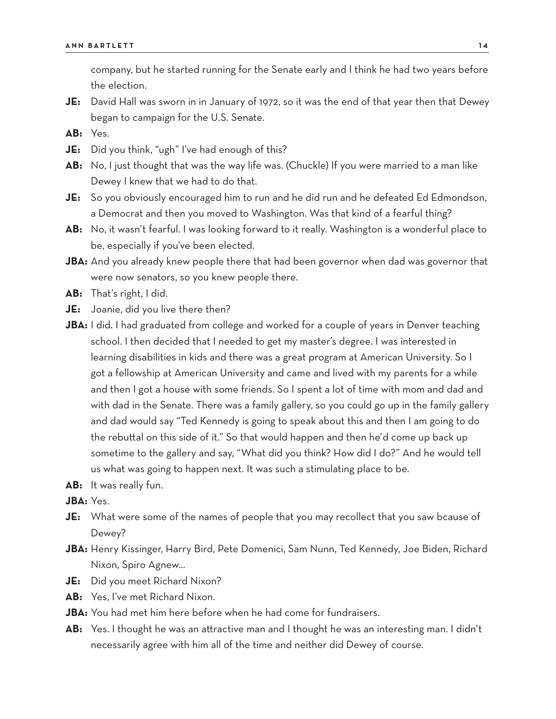company, but he started running for the Senate early and I think he had two years before the election.

- **JE:** David Hall was sworn in in January of 1972, so it was the end of that year then that Dewey began to campaign for the U.S. Senate.
- **AB:** Yes.
- **JE:** Did you think, "ugh" I've had enough of this?
- **AB:** No, I just thought that was the way life was. (Chuckle) If you were married to a man like Dewey I knew that we had to do that.
- **JE:** So you obviously encouraged him to run and he did run and he defeated Ed Edmondson, a Democrat and then you moved to Washington. Was that kind of a fearful thing?
- **AB:** No, it wasn't fearful. I was looking forward to it really. Washington is a wonderful place to be, especially if you've been elected.
- **JBA:** And you already knew people there that had been governor when dad was governor that were now senators, so you knew people there.
- **AB:** That's right, I did.
- **JE:** Joanie, did you live there then?
- **JBA:** I did. I had graduated from college and worked for a couple of years in Denver teaching school. I then decided that I needed to get my master's degree. I was interested in learning disabilities in kids and there was a great program at American University. So I got a fellowship at American University and came and lived with my parents for a while and then I got a house with some friends. So I spent a lot of time with mom and dad and with dad in the Senate. There was a family gallery, so you could go up in the family gallery and dad would say "Ted Kennedy is going to speak about this and then I am going to do the rebuttal on this side of it." So that would happen and then he'd come up back up sometime to the gallery and say, "What did you think? How did I do?" And he would tell us what was going to happen next. It was such a stimulating place to be.
- **AB:** It was really fun.

**JBA:** Yes.

- **JE:** What were some of the names of people that you may recollect that you saw bcause of Dewey?
- **JBA:** Henry Kissinger, Harry Bird, Pete Domenici, Sam Nunn, Ted Kennedy, Joe Biden, Richard Nixon, Spiro Agnew…
- **JE:** Did you meet Richard Nixon?
- **AB:** Yes, I've met Richard Nixon.
- **JBA:** You had met him here before when he had come for fundraisers.
- **AB:** Yes. I thought he was an attractive man and I thought he was an interesting man. I didn't necessarily agree with him all of the time and neither did Dewey of course.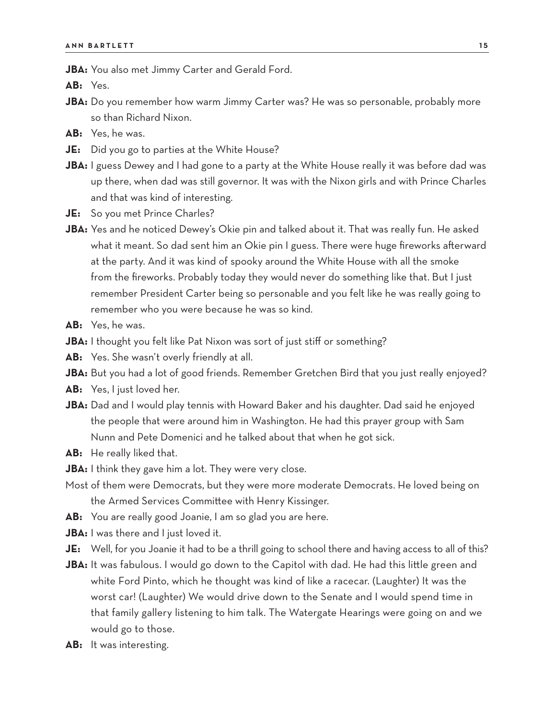**JBA:** You also met Jimmy Carter and Gerald Ford.

**AB:** Yes.

- **JBA:** Do you remember how warm Jimmy Carter was? He was so personable, probably more so than Richard Nixon.
- **AB:** Yes, he was.
- **JE:** Did you go to parties at the White House?
- **JBA:** I guess Dewey and I had gone to a party at the White House really it was before dad was up there, when dad was still governor. It was with the Nixon girls and with Prince Charles and that was kind of interesting.
- **JE:** So you met Prince Charles?
- **JBA:** Yes and he noticed Dewey's Okie pin and talked about it. That was really fun. He asked what it meant. So dad sent him an Okie pin I guess. There were huge fireworks afterward at the party. And it was kind of spooky around the White House with all the smoke from the fireworks. Probably today they would never do something like that. But I just remember President Carter being so personable and you felt like he was really going to remember who you were because he was so kind.
- **AB:** Yes, he was.
- **JBA:** I thought you felt like Pat Nixon was sort of just stiff or something?
- **AB:** Yes. She wasn't overly friendly at all.
- **JBA:** But you had a lot of good friends. Remember Gretchen Bird that you just really enjoyed?
- **AB:** Yes, I just loved her.
- **JBA:** Dad and I would play tennis with Howard Baker and his daughter. Dad said he enjoyed the people that were around him in Washington. He had this prayer group with Sam Nunn and Pete Domenici and he talked about that when he got sick.
- **AB:** He really liked that.
- **JBA:** I think they gave him a lot. They were very close.
- Most of them were Democrats, but they were more moderate Democrats. He loved being on the Armed Services Committee with Henry Kissinger.
- **AB:** You are really good Joanie, I am so glad you are here.
- **JBA:** I was there and I just loved it.
- JE: Well, for you Joanie it had to be a thrill going to school there and having access to all of this?
- **JBA:** It was fabulous. I would go down to the Capitol with dad. He had this little green and white Ford Pinto, which he thought was kind of like a racecar. (Laughter) It was the worst car! (Laughter) We would drive down to the Senate and I would spend time in that family gallery listening to him talk. The Watergate Hearings were going on and we would go to those.
- AB: It was interesting.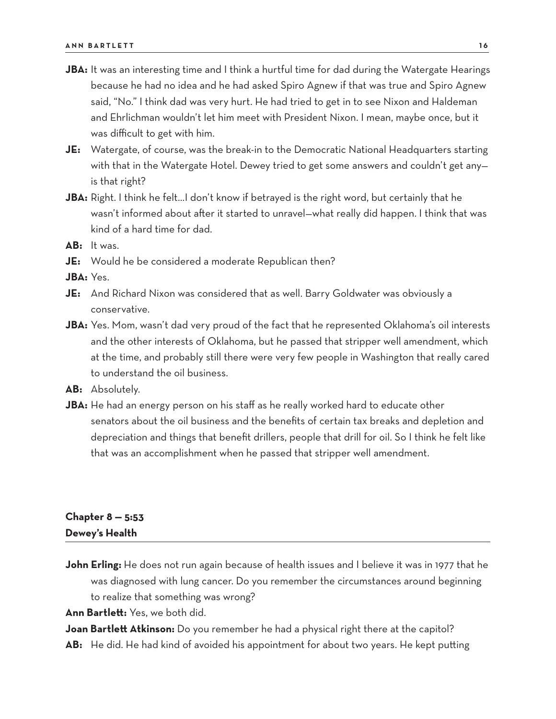- **JBA:** It was an interesting time and I think a hurtful time for dad during the Watergate Hearings because he had no idea and he had asked Spiro Agnew if that was true and Spiro Agnew said, "No." I think dad was very hurt. He had tried to get in to see Nixon and Haldeman and Ehrlichman wouldn't let him meet with President Nixon. I mean, maybe once, but it was difficult to get with him.
- **JE:** Watergate, of course, was the break-in to the Democratic National Headquarters starting with that in the Watergate Hotel. Dewey tried to get some answers and couldn't get any is that right?
- **JBA:** Right. I think he felt…I don't know if betrayed is the right word, but certainly that he wasn't informed about after it started to unravel—what really did happen. I think that was kind of a hard time for dad.
- **AB:** It was.
- **JE:** Would he be considered a moderate Republican then?

**JBA:** Yes.

- **JE:** And Richard Nixon was considered that as well. Barry Goldwater was obviously a conservative.
- **JBA:** Yes. Mom, wasn't dad very proud of the fact that he represented Oklahoma's oil interests and the other interests of Oklahoma, but he passed that stripper well amendment, which at the time, and probably still there were very few people in Washington that really cared to understand the oil business.
- **AB:** Absolutely.
- **JBA:** He had an energy person on his staff as he really worked hard to educate other senators about the oil business and the benefits of certain tax breaks and depletion and depreciation and things that benefit drillers, people that drill for oil. So I think he felt like that was an accomplishment when he passed that stripper well amendment.

## **Chapter 8 — 5:53 Dewey's Health**

**John Erling:** He does not run again because of health issues and I believe it was in 1977 that he was diagnosed with lung cancer. Do you remember the circumstances around beginning to realize that something was wrong?

**Ann Bartlett:** Yes, we both did.

**Joan Bartlett Atkinson:** Do you remember he had a physical right there at the capitol? **AB:** He did. He had kind of avoided his appointment for about two years. He kept putting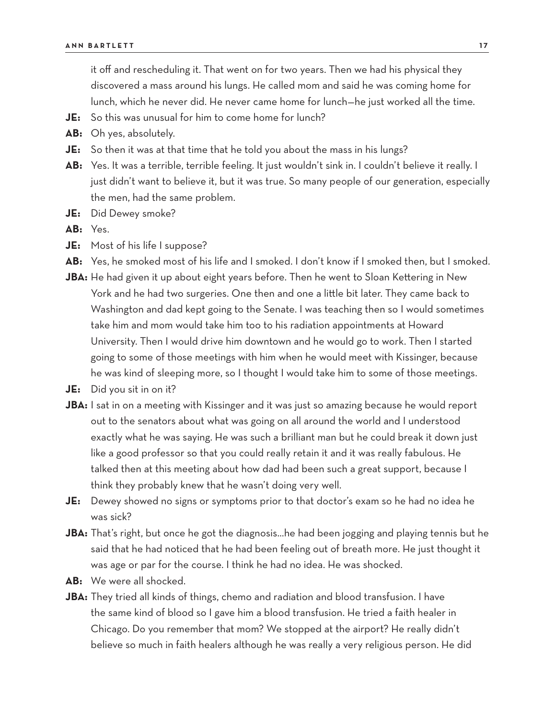it off and rescheduling it. That went on for two years. Then we had his physical they discovered a mass around his lungs. He called mom and said he was coming home for lunch, which he never did. He never came home for lunch—he just worked all the time.

- **JE:** So this was unusual for him to come home for lunch?
- **AB:** Oh yes, absolutely.
- **JE:** So then it was at that time that he told you about the mass in his lungs?
- **AB:** Yes. It was a terrible, terrible feeling. It just wouldn't sink in. I couldn't believe it really. I just didn't want to believe it, but it was true. So many people of our generation, especially the men, had the same problem.
- **JE:** Did Dewey smoke?
- **AB:** Yes.
- **JE:** Most of his life I suppose?
- **AB:** Yes, he smoked most of his life and I smoked. I don't know if I smoked then, but I smoked.
- **JBA:** He had given it up about eight years before. Then he went to Sloan Kettering in New York and he had two surgeries. One then and one a little bit later. They came back to Washington and dad kept going to the Senate. I was teaching then so I would sometimes take him and mom would take him too to his radiation appointments at Howard University. Then I would drive him downtown and he would go to work. Then I started going to some of those meetings with him when he would meet with Kissinger, because he was kind of sleeping more, so I thought I would take him to some of those meetings.
- **JE:** Did you sit in on it?
- **JBA:** I sat in on a meeting with Kissinger and it was just so amazing because he would report out to the senators about what was going on all around the world and I understood exactly what he was saying. He was such a brilliant man but he could break it down just like a good professor so that you could really retain it and it was really fabulous. He talked then at this meeting about how dad had been such a great support, because I think they probably knew that he wasn't doing very well.
- **JE:** Dewey showed no signs or symptoms prior to that doctor's exam so he had no idea he was sick?
- **JBA:** That's right, but once he got the diagnosis…he had been jogging and playing tennis but he said that he had noticed that he had been feeling out of breath more. He just thought it was age or par for the course. I think he had no idea. He was shocked.
- **AB:** We were all shocked.
- **JBA:** They tried all kinds of things, chemo and radiation and blood transfusion. I have the same kind of blood so I gave him a blood transfusion. He tried a faith healer in Chicago. Do you remember that mom? We stopped at the airport? He really didn't believe so much in faith healers although he was really a very religious person. He did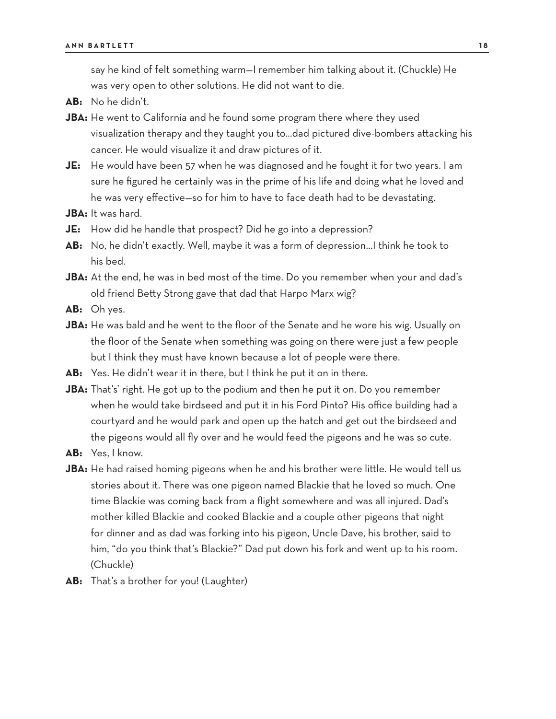say he kind of felt something warm—I remember him talking about it. (Chuckle) He was very open to other solutions. He did not want to die.

- **AB:** No he didn't.
- **JBA:** He went to California and he found some program there where they used visualization therapy and they taught you to…dad pictured dive-bombers attacking his cancer. He would visualize it and draw pictures of it.
- **JE:** He would have been 57 when he was diagnosed and he fought it for two years. I am sure he figured he certainly was in the prime of his life and doing what he loved and he was very effective—so for him to have to face death had to be devastating.
- **JBA:** It was hard.
- **JE:** How did he handle that prospect? Did he go into a depression?
- **AB:** No, he didn't exactly. Well, maybe it was a form of depression…I think he took to his bed.
- **JBA:** At the end, he was in bed most of the time. Do you remember when your and dad's old friend Betty Strong gave that dad that Harpo Marx wig?
- **AB:** Oh yes.
- **JBA:** He was bald and he went to the floor of the Senate and he wore his wig. Usually on the floor of the Senate when something was going on there were just a few people but I think they must have known because a lot of people were there.
- **AB:** Yes. He didn't wear it in there, but I think he put it on in there.
- **JBA:** That's' right. He got up to the podium and then he put it on. Do you remember when he would take birdseed and put it in his Ford Pinto? His office building had a courtyard and he would park and open up the hatch and get out the birdseed and the pigeons would all fly over and he would feed the pigeons and he was so cute.
- **AB:** Yes, I know.
- **JBA:** He had raised homing pigeons when he and his brother were little. He would tell us stories about it. There was one pigeon named Blackie that he loved so much. One time Blackie was coming back from a flight somewhere and was all injured. Dad's mother killed Blackie and cooked Blackie and a couple other pigeons that night for dinner and as dad was forking into his pigeon, Uncle Dave, his brother, said to him, "do you think that's Blackie?" Dad put down his fork and went up to his room. (Chuckle)
- **AB:** That's a brother for you! (Laughter)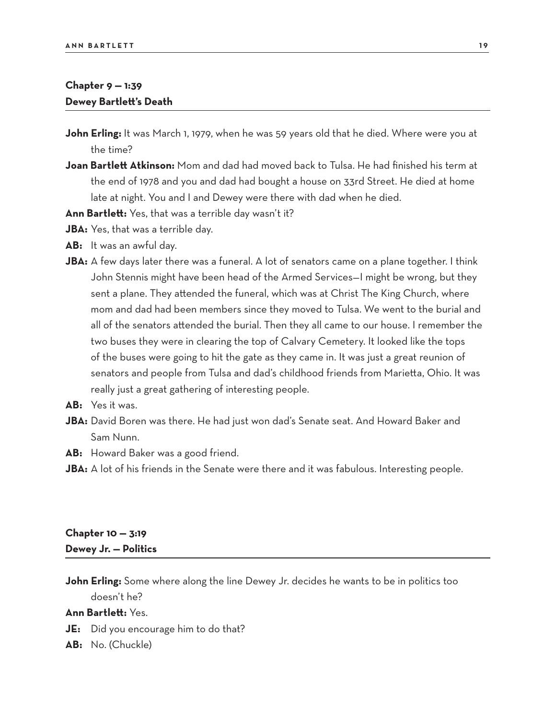## **Chapter 9 — 1:39 Dewey Bartlett's Death**

- **John Erling:** It was March 1, 1979, when he was 59 years old that he died. Where were you at the time?
- **Joan Bartlett Atkinson:** Mom and dad had moved back to Tulsa. He had finished his term at the end of 1978 and you and dad had bought a house on 33rd Street. He died at home late at night. You and I and Dewey were there with dad when he died.
- **Ann Bartlett:** Yes, that was a terrible day wasn't it?
- **JBA:** Yes, that was a terrible day.
- **AB:** It was an awful day.
- JBA: A few days later there was a funeral. A lot of senators came on a plane together. I think John Stennis might have been head of the Armed Services—I might be wrong, but they sent a plane. They attended the funeral, which was at Christ The King Church, where mom and dad had been members since they moved to Tulsa. We went to the burial and all of the senators attended the burial. Then they all came to our house. I remember the two buses they were in clearing the top of Calvary Cemetery. It looked like the tops of the buses were going to hit the gate as they came in. It was just a great reunion of senators and people from Tulsa and dad's childhood friends from Marietta, Ohio. It was really just a great gathering of interesting people.
- **AB:** Yes it was.
- **JBA:** David Boren was there. He had just won dad's Senate seat. And Howard Baker and Sam Nunn.
- **AB:** Howard Baker was a good friend.
- JBA: A lot of his friends in the Senate were there and it was fabulous. Interesting people.

## **Chapter 10 — 3:19 Dewey Jr. — Politics**

**John Erling:** Some where along the line Dewey Jr. decides he wants to be in politics too doesn't he?

- **JE:** Did you encourage him to do that?
- **AB:** No. (Chuckle)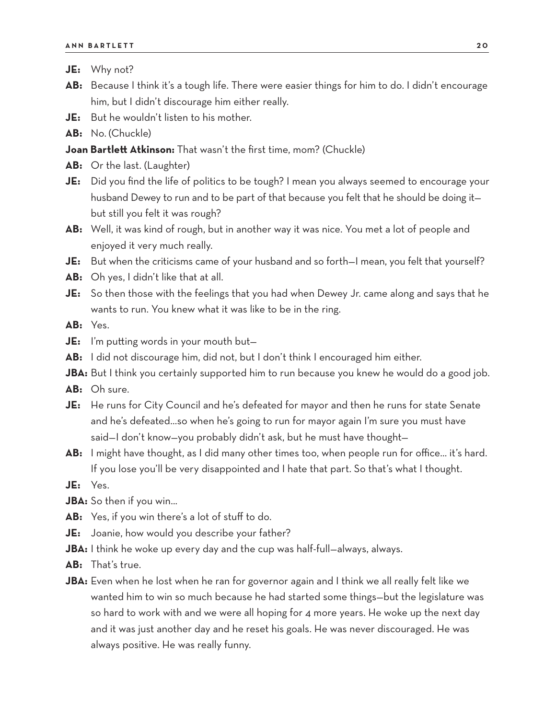- **JE:** Why not?
- **AB:** Because I think it's a tough life. There were easier things for him to do. I didn't encourage him, but I didn't discourage him either really.
- **JE:** But he wouldn't listen to his mother.
- **AB:** No. (Chuckle)

#### **Joan Bartlett Atkinson:** That wasn't the first time, mom? (Chuckle)

- **AB:** Or the last. (Laughter)
- **JE:** Did you find the life of politics to be tough? I mean you always seemed to encourage your husband Dewey to run and to be part of that because you felt that he should be doing it but still you felt it was rough?
- **AB:** Well, it was kind of rough, but in another way it was nice. You met a lot of people and enjoyed it very much really.
- **JE:** But when the criticisms came of your husband and so forth—I mean, you felt that yourself?
- **AB:** Oh yes, I didn't like that at all.
- **JE:** So then those with the feelings that you had when Dewey Jr. came along and says that he wants to run. You knew what it was like to be in the ring.

**AB:** Yes.

- **JE:** I'm putting words in your mouth but—
- **AB:** I did not discourage him, did not, but I don't think I encouraged him either.
- **JBA:** But I think you certainly supported him to run because you knew he would do a good job.
- **AB:** Oh sure.
- **JE:** He runs for City Council and he's defeated for mayor and then he runs for state Senate and he's defeated...so when he's going to run for mayor again I'm sure you must have said—I don't know—you probably didn't ask, but he must have thought—
- **AB:** I might have thought, as I did many other times too, when people run for office... it's hard. If you lose you'll be very disappointed and I hate that part. So that's what I thought.
- **JE:** Yes.
- **JBA:** So then if you win...
- **AB:** Yes, if you win there's a lot of stuff to do.
- **JE:** Joanie, how would you describe your father?
- **JBA:** I think he woke up every day and the cup was half-full-always, always.
- **AB:** That's true.
- **JBA:** Even when he lost when he ran for governor again and I think we all really felt like we wanted him to win so much because he had started some things—but the legislature was so hard to work with and we were all hoping for 4 more years. He woke up the next day and it was just another day and he reset his goals. He was never discouraged. He was always positive. He was really funny.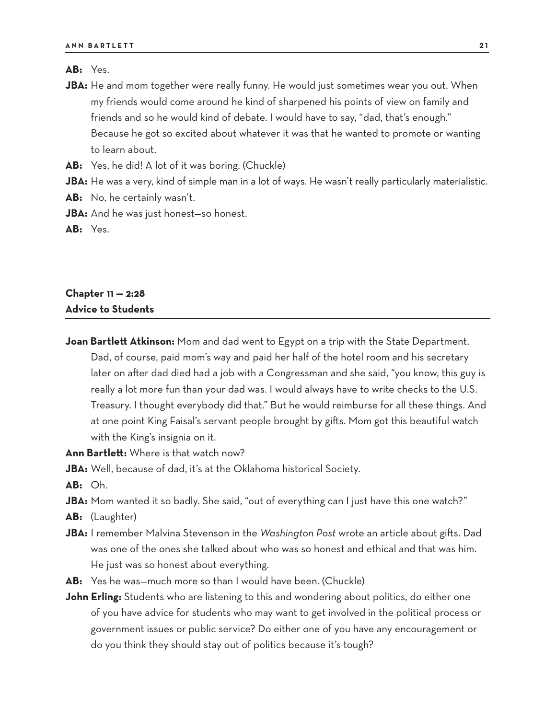#### **AB:** Yes.

- **JBA:** He and mom together were really funny. He would just sometimes wear you out. When my friends would come around he kind of sharpened his points of view on family and friends and so he would kind of debate. I would have to say, "dad, that's enough." Because he got so excited about whatever it was that he wanted to promote or wanting to learn about.
- **AB:** Yes, he did! A lot of it was boring. (Chuckle)
- **JBA:** He was a very, kind of simple man in a lot of ways. He wasn't really particularly materialistic.
- **AB:** No, he certainly wasn't.
- **JBA:** And he was just honest—so honest.

**AB:** Yes.

## **Chapter 11 — 2:28 Advice to Students**

- **Joan Bartlett Atkinson:** Mom and dad went to Egypt on a trip with the State Department. Dad, of course, paid mom's way and paid her half of the hotel room and his secretary later on after dad died had a job with a Congressman and she said, "you know, this guy is really a lot more fun than your dad was. I would always have to write checks to the U.S. Treasury. I thought everybody did that." But he would reimburse for all these things. And at one point King Faisal's servant people brought by gifts. Mom got this beautiful watch with the King's insignia on it.
- **Ann Bartlett:** Where is that watch now?
- **JBA:** Well, because of dad, it's at the Oklahoma historical Society.
- **AB:** Oh.
- **JBA:** Mom wanted it so badly. She said, "out of everything can I just have this one watch?"
- **AB:** (Laughter)
- **JBA:** I remember Malvina Stevenson in the *Washington Post* wrote an article about gifts. Dad was one of the ones she talked about who was so honest and ethical and that was him. He just was so honest about everything.
- **AB:** Yes he was—much more so than I would have been. (Chuckle)
- **John Erling:** Students who are listening to this and wondering about politics, do either one of you have advice for students who may want to get involved in the political process or government issues or public service? Do either one of you have any encouragement or do you think they should stay out of politics because it's tough?